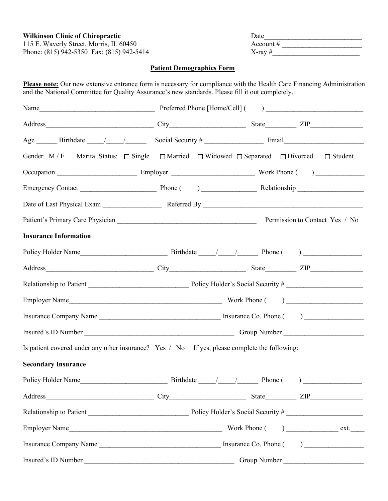Phone: (815) 942-5350 Fax: (815) 942-5414  $X$ -ray # $X$ -ray #

# **Wilkinson Clinic of Chiropractic** Date Date 115 E. Waverly Street, Morris, IL 60450 Account #  $\alpha$

### **Patient Demographics Form**

**Please note:** Our new extensive entrance form is necessary for compliance with the Health Care Financing Administration and the National Committee for Quality Assurance's new standards. Please fill it out completely.

| Gender M/F Marital Status: $\Box$ Single $\Box$ Married $\Box$ Widowed $\Box$ Separated $\Box$ Divorced $\Box$ Student |  |              |
|------------------------------------------------------------------------------------------------------------------------|--|--------------|
|                                                                                                                        |  |              |
|                                                                                                                        |  |              |
|                                                                                                                        |  |              |
|                                                                                                                        |  |              |
| <b>Insurance Information</b>                                                                                           |  |              |
|                                                                                                                        |  |              |
|                                                                                                                        |  |              |
|                                                                                                                        |  |              |
|                                                                                                                        |  |              |
|                                                                                                                        |  |              |
|                                                                                                                        |  |              |
| Is patient covered under any other insurance? Yes / No If yes, please complete the following:                          |  |              |
| <b>Secondary Insurance</b>                                                                                             |  |              |
|                                                                                                                        |  |              |
|                                                                                                                        |  |              |
|                                                                                                                        |  |              |
|                                                                                                                        |  |              |
|                                                                                                                        |  |              |
| Insured's ID Number                                                                                                    |  | Group Number |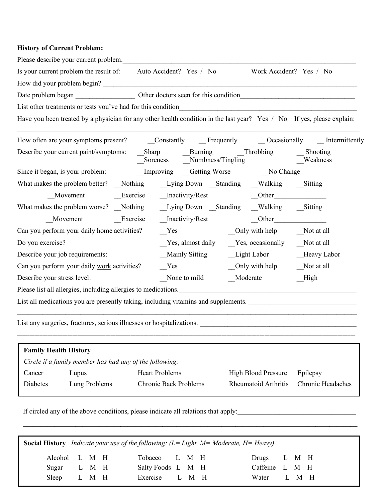# **History of Current Problem:**

|                              | Please describe your current problem.                                                                                                                                                                                          |  |                              |                       |  |  |                                                     |            |                   |
|------------------------------|--------------------------------------------------------------------------------------------------------------------------------------------------------------------------------------------------------------------------------|--|------------------------------|-----------------------|--|--|-----------------------------------------------------|------------|-------------------|
|                              | Is your current problem the result of: Auto Accident? Yes / No                                                                                                                                                                 |  |                              |                       |  |  | Work Accident? Yes / No                             |            |                   |
|                              | How did your problem begin?                                                                                                                                                                                                    |  |                              |                       |  |  |                                                     |            |                   |
|                              |                                                                                                                                                                                                                                |  |                              |                       |  |  |                                                     |            |                   |
|                              |                                                                                                                                                                                                                                |  |                              |                       |  |  |                                                     |            |                   |
|                              | Have you been treated by a physician for any other health condition in the last year? Yes / No If yes, please explain:                                                                                                         |  |                              |                       |  |  |                                                     |            |                   |
|                              |                                                                                                                                                                                                                                |  |                              |                       |  |  |                                                     |            |                   |
|                              |                                                                                                                                                                                                                                |  |                              |                       |  |  | Soreness Numbness/Tingling                          |            | <b>Weakness</b>   |
|                              |                                                                                                                                                                                                                                |  |                              |                       |  |  |                                                     |            |                   |
|                              |                                                                                                                                                                                                                                |  |                              |                       |  |  |                                                     |            |                   |
|                              |                                                                                                                                                                                                                                |  |                              |                       |  |  |                                                     |            |                   |
|                              | What makes the problem worse? Nothing Lying Down Standing Walking Sitting                                                                                                                                                      |  |                              |                       |  |  |                                                     |            |                   |
|                              |                                                                                                                                                                                                                                |  |                              |                       |  |  |                                                     |            |                   |
|                              | Can you perform your daily home activities?                                                                                                                                                                                    |  | Yes                          |                       |  |  |                                                     |            |                   |
| Do you exercise?             |                                                                                                                                                                                                                                |  |                              |                       |  |  | _Yes, almost daily __Yes, occasionally __Not at all |            |                   |
|                              | Describe your job requirements:                                                                                                                                                                                                |  |                              |                       |  |  | Mainly Sitting Light Labor Heavy Labor              |            |                   |
|                              | Can you perform your daily work activities?                                                                                                                                                                                    |  | Yes                          |                       |  |  | $\Box$ Only with help                               | Not at all |                   |
| Describe your stress level:  |                                                                                                                                                                                                                                |  |                              | None to mild Moderate |  |  |                                                     | High       |                   |
|                              | Please list all allergies, including allergies to medications. https://www.com/community.com/community/integrations.com/community/integrations.com/community/integrations.com/community/integrations.com/community/integration |  |                              |                       |  |  |                                                     |            |                   |
|                              |                                                                                                                                                                                                                                |  |                              |                       |  |  |                                                     |            |                   |
|                              | List any surgeries, fractures, serious illnesses or hospitalizations.                                                                                                                                                          |  |                              |                       |  |  |                                                     |            |                   |
| <b>Family Health History</b> |                                                                                                                                                                                                                                |  |                              |                       |  |  |                                                     |            |                   |
|                              | Circle if a family member has had any of the following:                                                                                                                                                                        |  |                              |                       |  |  |                                                     |            |                   |
| Cancer                       | Lupus                                                                                                                                                                                                                          |  | <b>Heart Problems</b>        |                       |  |  | <b>High Blood Pressure</b>                          | Epilepsy   |                   |
| Diabetes                     | Lung Problems                                                                                                                                                                                                                  |  | <b>Chronic Back Problems</b> |                       |  |  | Rheumatoid Arthritis                                |            | Chronic Headaches |
|                              |                                                                                                                                                                                                                                |  |                              |                       |  |  |                                                     |            |                   |

If circled any of the above conditions, please indicate all relations that apply:

|               |       |  |                   |  | <b>Social History</b> Indicate your use of the following: $(L = Light, M = Moderate, H = Heavy)$ |                |  |  |
|---------------|-------|--|-------------------|--|--------------------------------------------------------------------------------------------------|----------------|--|--|
| Alcohol L M H |       |  | Tobacco L M H     |  |                                                                                                  | Drugs L M H    |  |  |
| Sugar L M H   |       |  | Salty Foods L M H |  |                                                                                                  | Caffeine L M H |  |  |
| Sleep         | L M H |  | Exercise L M H    |  |                                                                                                  | Water L M H    |  |  |